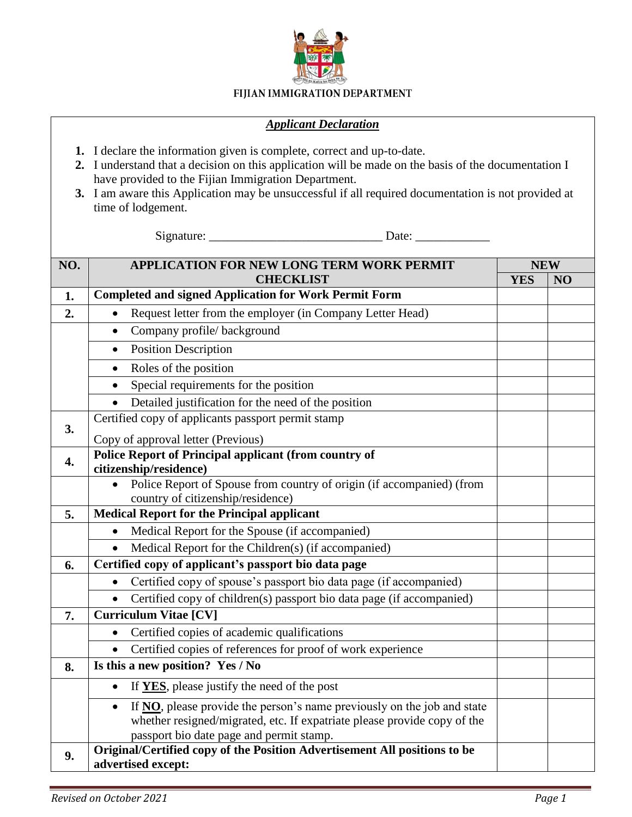

## FIJIAN IMMIGRATION DEPARTMENT

## *Applicant Declaration*

- **1.** I declare the information given is complete, correct and up-to-date.
- **2.** I understand that a decision on this application will be made on the basis of the documentation I have provided to the Fijian Immigration Department.
- **3.** I am aware this Application may be unsuccessful if all required documentation is not provided at time of lodgement.

Signature: \_\_\_\_\_\_\_\_\_\_\_\_\_\_\_\_\_\_\_\_\_\_\_\_\_\_\_\_ Date: \_\_\_\_\_\_\_\_\_\_\_\_

| NO. | <b>APPLICATION FOR NEW LONG TERM WORK PERMIT</b>                                                           |            | <b>NEW</b> |  |  |
|-----|------------------------------------------------------------------------------------------------------------|------------|------------|--|--|
|     | <b>CHECKLIST</b>                                                                                           | <b>YES</b> | NO         |  |  |
| 1.  | <b>Completed and signed Application for Work Permit Form</b>                                               |            |            |  |  |
| 2.  | Request letter from the employer (in Company Letter Head)<br>$\bullet$                                     |            |            |  |  |
|     | Company profile/background<br>$\bullet$                                                                    |            |            |  |  |
|     | <b>Position Description</b><br>$\bullet$                                                                   |            |            |  |  |
|     | Roles of the position<br>$\bullet$                                                                         |            |            |  |  |
|     | Special requirements for the position                                                                      |            |            |  |  |
|     | Detailed justification for the need of the position                                                        |            |            |  |  |
| 3.  | Certified copy of applicants passport permit stamp                                                         |            |            |  |  |
|     | Copy of approval letter (Previous)                                                                         |            |            |  |  |
| 4.  | <b>Police Report of Principal applicant (from country of</b><br>citizenship/residence)                     |            |            |  |  |
|     | Police Report of Spouse from country of origin (if accompanied) (from<br>country of citizenship/residence) |            |            |  |  |
| 5.  | <b>Medical Report for the Principal applicant</b>                                                          |            |            |  |  |
|     | Medical Report for the Spouse (if accompanied)                                                             |            |            |  |  |
|     | Medical Report for the Children(s) (if accompanied)                                                        |            |            |  |  |
| 6.  | Certified copy of applicant's passport bio data page                                                       |            |            |  |  |
|     | Certified copy of spouse's passport bio data page (if accompanied)                                         |            |            |  |  |
|     | Certified copy of children(s) passport bio data page (if accompanied)                                      |            |            |  |  |
| 7.  | <b>Curriculum Vitae [CV]</b>                                                                               |            |            |  |  |
|     | Certified copies of academic qualifications                                                                |            |            |  |  |
|     | Certified copies of references for proof of work experience                                                |            |            |  |  |
| 8.  | Is this a new position? Yes / No                                                                           |            |            |  |  |
|     | If YES, please justify the need of the post<br>$\bullet$                                                   |            |            |  |  |
|     | If NO, please provide the person's name previously on the job and state                                    |            |            |  |  |
|     | whether resigned/migrated, etc. If expatriate please provide copy of the                                   |            |            |  |  |
|     | passport bio date page and permit stamp.                                                                   |            |            |  |  |
| 9.  | Original/Certified copy of the Position Advertisement All positions to be<br>advertised except:            |            |            |  |  |
|     |                                                                                                            |            |            |  |  |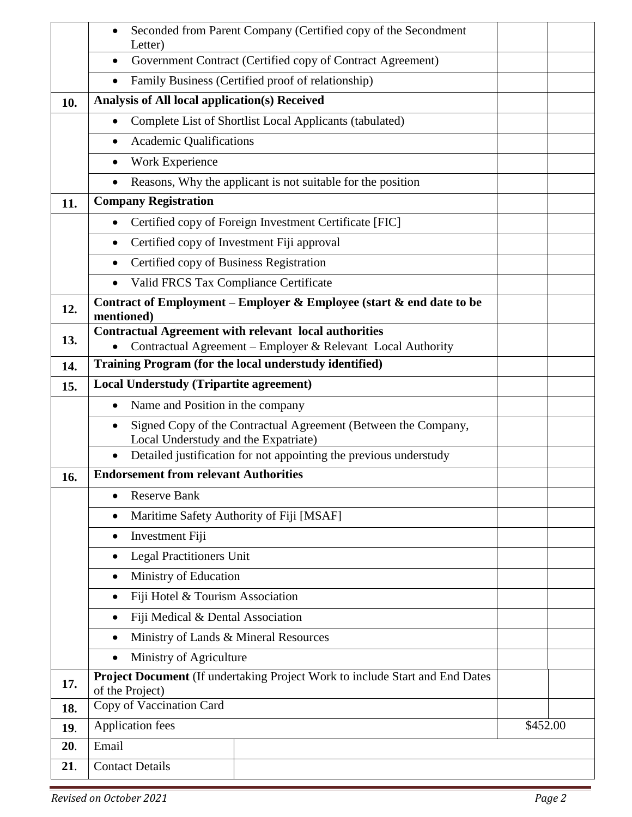|     | Letter)                                              | Seconded from Parent Company (Certified copy of the Secondment               |          |  |
|-----|------------------------------------------------------|------------------------------------------------------------------------------|----------|--|
|     | $\bullet$                                            | Government Contract (Certified copy of Contract Agreement)                   |          |  |
|     | $\bullet$                                            | Family Business (Certified proof of relationship)                            |          |  |
| 10. | <b>Analysis of All local application(s) Received</b> |                                                                              |          |  |
|     | $\bullet$                                            | Complete List of Shortlist Local Applicants (tabulated)                      |          |  |
|     | <b>Academic Qualifications</b><br>$\bullet$          |                                                                              |          |  |
|     | Work Experience<br>$\bullet$                         |                                                                              |          |  |
|     | $\bullet$                                            | Reasons, Why the applicant is not suitable for the position                  |          |  |
| 11. | <b>Company Registration</b>                          |                                                                              |          |  |
|     |                                                      | Certified copy of Foreign Investment Certificate [FIC]                       |          |  |
|     |                                                      | Certified copy of Investment Fiji approval                                   |          |  |
|     | Certified copy of Business Registration              |                                                                              |          |  |
|     | $\bullet$                                            | Valid FRCS Tax Compliance Certificate                                        |          |  |
| 12. | mentioned)                                           | Contract of Employment – Employer & Employee (start $\&$ end date to be      |          |  |
| 13. |                                                      | <b>Contractual Agreement with relevant local authorities</b>                 |          |  |
|     |                                                      | Contractual Agreement - Employer & Relevant Local Authority                  |          |  |
| 14. |                                                      | Training Program (for the local understudy identified)                       |          |  |
| 15. | <b>Local Understudy (Tripartite agreement)</b>       |                                                                              |          |  |
|     | Name and Position in the company<br>$\bullet$        |                                                                              |          |  |
|     | $\bullet$<br>Local Understudy and the Expatriate)    | Signed Copy of the Contractual Agreement (Between the Company,               |          |  |
|     |                                                      | Detailed justification for not appointing the previous understudy            |          |  |
| 16. | <b>Endorsement from relevant Authorities</b>         |                                                                              |          |  |
|     | <b>Reserve Bank</b><br>$\bullet$                     |                                                                              |          |  |
|     | $\bullet$                                            | Maritime Safety Authority of Fiji [MSAF]                                     |          |  |
|     | Investment Fiji<br>$\bullet$                         |                                                                              |          |  |
|     | <b>Legal Practitioners Unit</b><br>$\bullet$         |                                                                              |          |  |
|     | Ministry of Education<br>$\bullet$                   |                                                                              |          |  |
|     | Fiji Hotel & Tourism Association<br>٠                |                                                                              |          |  |
|     | Fiji Medical & Dental Association<br>$\bullet$       |                                                                              |          |  |
|     | $\bullet$                                            | Ministry of Lands & Mineral Resources                                        |          |  |
|     | Ministry of Agriculture<br>$\bullet$                 |                                                                              |          |  |
| 17. | of the Project)                                      | Project Document (If undertaking Project Work to include Start and End Dates |          |  |
| 18. | Copy of Vaccination Card                             |                                                                              |          |  |
| 19. | <b>Application fees</b>                              |                                                                              | \$452.00 |  |
| 20. | Email                                                |                                                                              |          |  |
| 21. | <b>Contact Details</b>                               |                                                                              |          |  |